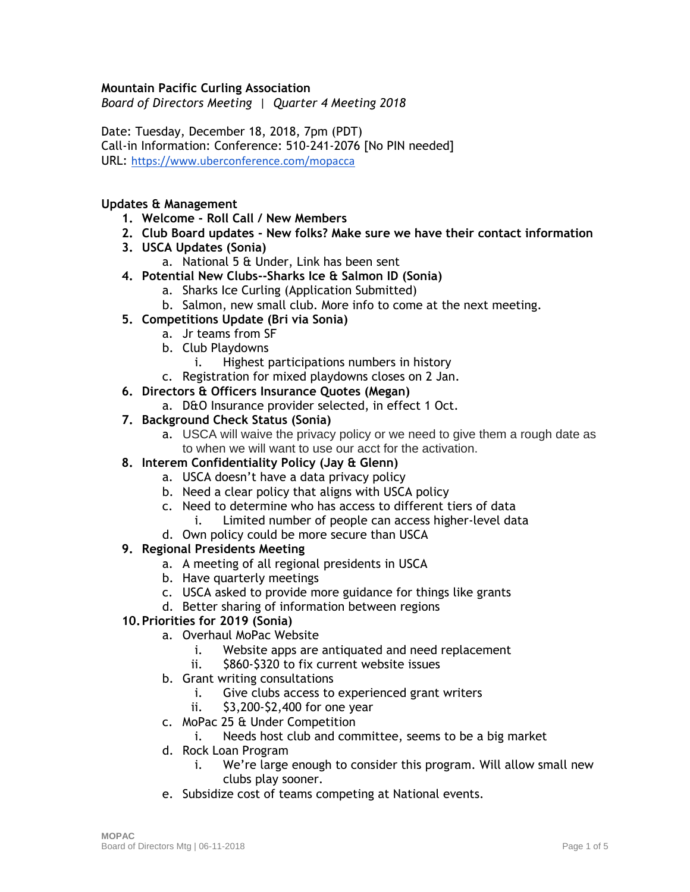### **Mountain Pacific Curling Association**

*Board of Directors Meeting | Quarter 4 Meeting 2018*

Date: Tuesday, December 18, 2018, 7pm (PDT) Call-in Information: Conference: 510-241-2076 [No PIN needed] URL: <https://www.uberconference.com/mopacca>

#### **Updates & Management**

- **1. Welcome - Roll Call / New Members**
- **2. Club Board updates - New folks? Make sure we have their contact information**
- **3. USCA Updates (Sonia)**
	- a. National 5 & Under, Link has been sent
- **4. Potential New Clubs--Sharks Ice & Salmon ID (Sonia)**
	- a. Sharks Ice Curling (Application Submitted)
	- b. Salmon, new small club. More info to come at the next meeting.
- **5. Competitions Update (Bri via Sonia)**
	- a. Jr teams from SF
	- b. Club Playdowns
		- i. Highest participations numbers in history
	- c. Registration for mixed playdowns closes on 2 Jan.
- **6. Directors & Officers Insurance Quotes (Megan)**
	- a. D&O Insurance provider selected, in effect 1 Oct.
- **7. Background Check Status (Sonia)**
	- a. USCA will waive the privacy policy or we need to give them a rough date as to when we will want to use our acct for the activation.
- **8. Interem Confidentiality Policy (Jay & Glenn)**
	- a. USCA doesn't have a data privacy policy
	- b. Need a clear policy that aligns with USCA policy
	- c. Need to determine who has access to different tiers of data
		- i. Limited number of people can access higher-level data
	- d. Own policy could be more secure than USCA

#### **9. Regional Presidents Meeting**

- a. A meeting of all regional presidents in USCA
- b. Have quarterly meetings
- c. USCA asked to provide more guidance for things like grants
- d. Better sharing of information between regions

## **10.Priorities for 2019 (Sonia)**

- a. Overhaul MoPac Website
	- i. Website apps are antiquated and need replacement
	- ii. \$860-\$320 to fix current website issues
- b. Grant writing consultations
	- i. Give clubs access to experienced grant writers
	- ii. \$3,200-\$2,400 for one year
- c. MoPac 25 & Under Competition
	- i. Needs host club and committee, seems to be a big market
- d. Rock Loan Program
	- i. We're large enough to consider this program. Will allow small new clubs play sooner.
- e. Subsidize cost of teams competing at National events.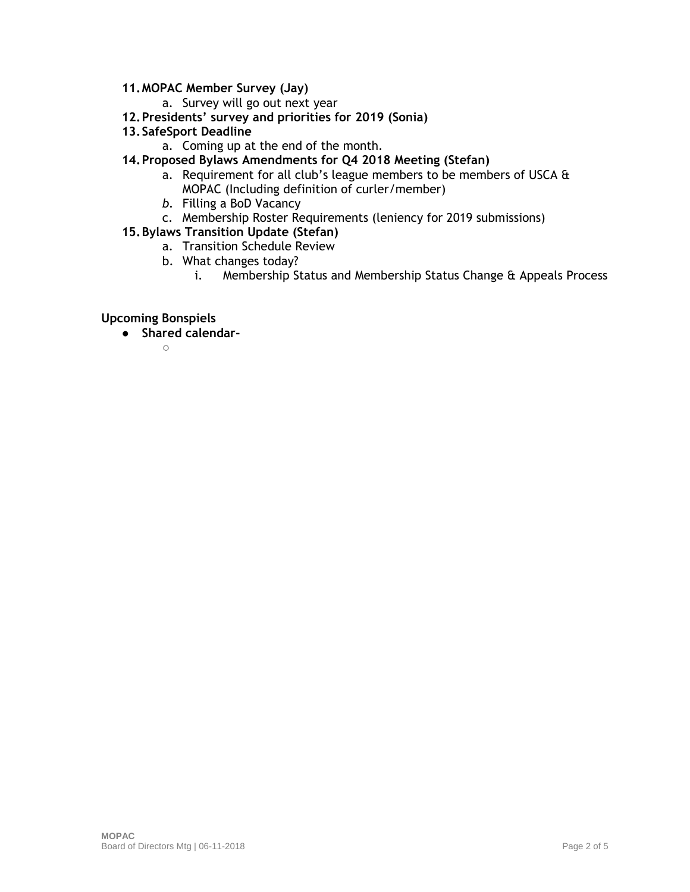## **11.MOPAC Member Survey (Jay)**

- a. Survey will go out next year
- **12.Presidents' survey and priorities for 2019 (Sonia)**
- **13.SafeSport Deadline**
	- a. Coming up at the end of the month.
- **14.Proposed Bylaws Amendments for Q4 2018 Meeting (Stefan)**
	- a. Requirement for all club's league members to be members of USCA & MOPAC (Including definition of curler/member)
	- *b.* Filling a BoD Vacancy
	- c. Membership Roster Requirements (leniency for 2019 submissions)

### **15.Bylaws Transition Update (Stefan)**

- a. Transition Schedule Review
- b. What changes today?
	- i. Membership Status and Membership Status Change & Appeals Process

#### **Upcoming Bonspiels**

● **Shared calendar-**

 $\cap$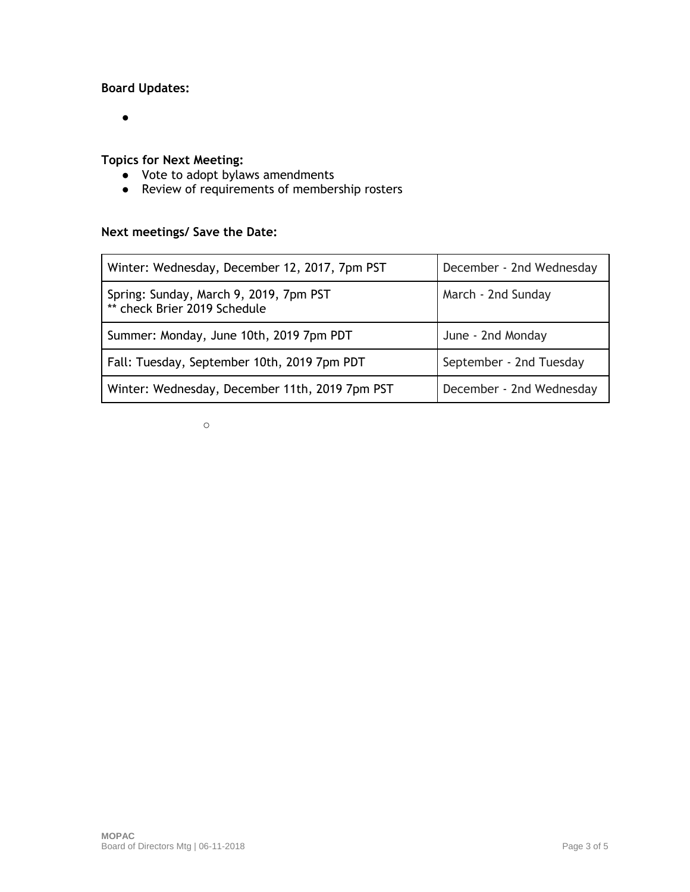# **Board Updates:**

 $\bullet$ 

# **Topics for Next Meeting:**

- Vote to adopt bylaws amendments
- Review of requirements of membership rosters

# **Next meetings/ Save the Date:**

| Winter: Wednesday, December 12, 2017, 7pm PST                          | December - 2nd Wednesday |
|------------------------------------------------------------------------|--------------------------|
| Spring: Sunday, March 9, 2019, 7pm PST<br>** check Brier 2019 Schedule | March - 2nd Sunday       |
| Summer: Monday, June 10th, 2019 7pm PDT                                | June - 2nd Monday        |
| Fall: Tuesday, September 10th, 2019 7pm PDT                            | September - 2nd Tuesday  |
| Winter: Wednesday, December 11th, 2019 7pm PST                         | December - 2nd Wednesday |

○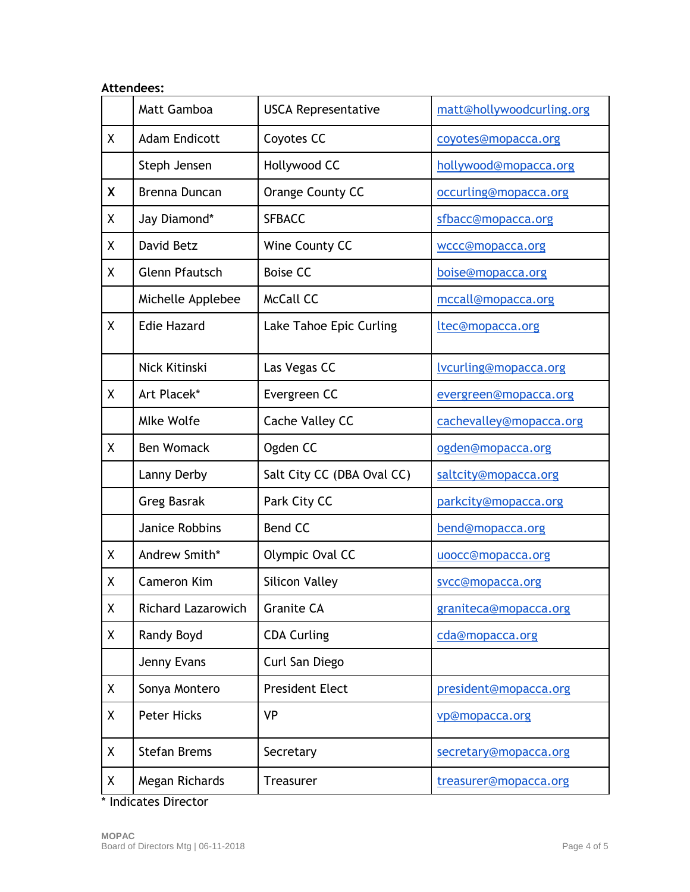| <b>Attendees:</b> |                           |                            |                           |  |
|-------------------|---------------------------|----------------------------|---------------------------|--|
|                   | <b>Matt Gamboa</b>        | <b>USCA Representative</b> | matt@hollywoodcurling.org |  |
| X                 | <b>Adam Endicott</b>      | Coyotes CC                 | coyotes@mopacca.org       |  |
|                   | Steph Jensen              | Hollywood CC               | hollywood@mopacca.org     |  |
| X                 | Brenna Duncan             | Orange County CC           | occurling@mopacca.org     |  |
| χ                 | Jay Diamond*              | <b>SFBACC</b>              | sfbacc@mopacca.org        |  |
| Χ                 | David Betz                | Wine County CC             | wccc@mopacca.org          |  |
| X                 | <b>Glenn Pfautsch</b>     | <b>Boise CC</b>            | boise@mopacca.org         |  |
|                   | Michelle Applebee         | <b>McCall CC</b>           | mccall@mopacca.org        |  |
| Χ                 | <b>Edie Hazard</b>        | Lake Tahoe Epic Curling    | ltec@mopacca.org          |  |
|                   | Nick Kitinski             | Las Vegas CC               | lvcurling@mopacca.org     |  |
| Χ                 | Art Placek*               | Evergreen CC               | evergreen@mopacca.org     |  |
|                   | <b>Mlke Wolfe</b>         | Cache Valley CC            | cachevalley@mopacca.org   |  |
| χ                 | <b>Ben Womack</b>         | Ogden CC                   | ogden@mopacca.org         |  |
|                   | Lanny Derby               | Salt City CC (DBA Oval CC) | saltcity@mopacca.org      |  |
|                   | <b>Greg Basrak</b>        | Park City CC               | parkcity@mopacca.org      |  |
|                   | Janice Robbins            | <b>Bend CC</b>             | bend@mopacca.org          |  |
| Χ                 | Andrew Smith*             | Olympic Oval CC            | uoocc@mopacca.org         |  |
| Χ                 | Cameron Kim               | <b>Silicon Valley</b>      | svcc@mopacca.org          |  |
| Χ                 | <b>Richard Lazarowich</b> | <b>Granite CA</b>          | graniteca@mopacca.org     |  |
| Χ                 | Randy Boyd                | <b>CDA Curling</b>         | cda@mopacca.org           |  |
|                   | Jenny Evans               | Curl San Diego             |                           |  |
| Χ                 | Sonya Montero             | <b>President Elect</b>     | president@mopacca.org     |  |
| Χ                 | <b>Peter Hicks</b>        | <b>VP</b>                  | vp@mopacca.org            |  |
| Χ                 | <b>Stefan Brems</b>       | Secretary                  | secretary@mopacca.org     |  |
| Χ                 | Megan Richards            | <b>Treasurer</b>           | treasurer@mopacca.org     |  |
|                   |                           |                            |                           |  |

\* Indicates Director